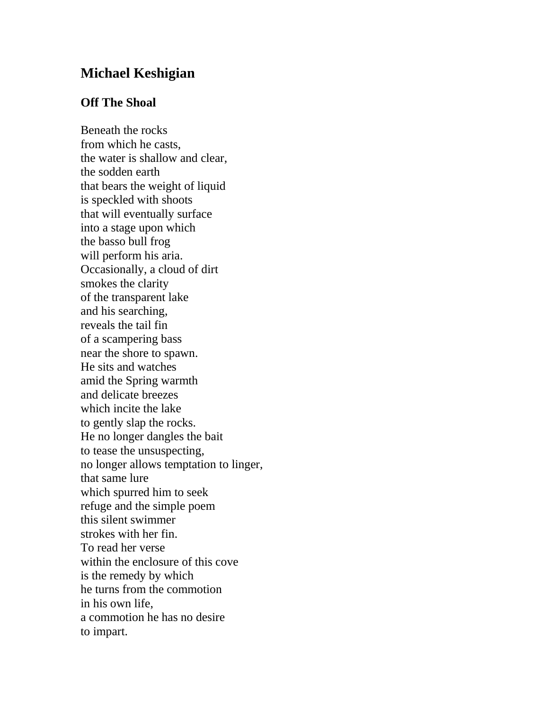## **Michael Keshigian**

## **Off The Shoal**

Beneath the rocks from which he casts, the water is shallow and clear, the sodden earth that bears the weight of liquid is speckled with shoots that will eventually surface into a stage upon which the basso bull frog will perform his aria. Occasionally, a cloud of dirt smokes the clarity of the transparent lake and his searching, reveals the tail fin of a scampering bass near the shore to spawn. He sits and watches amid the Spring warmth and delicate breezes which incite the lake to gently slap the rocks. He no longer dangles the bait to tease the unsuspecting, no longer allows temptation to linger, that same lure which spurred him to seek refuge and the simple poem this silent swimmer strokes with her fin. To read her verse within the enclosure of this cove is the remedy by which he turns from the commotion in his own life, a commotion he has no desire to impart.